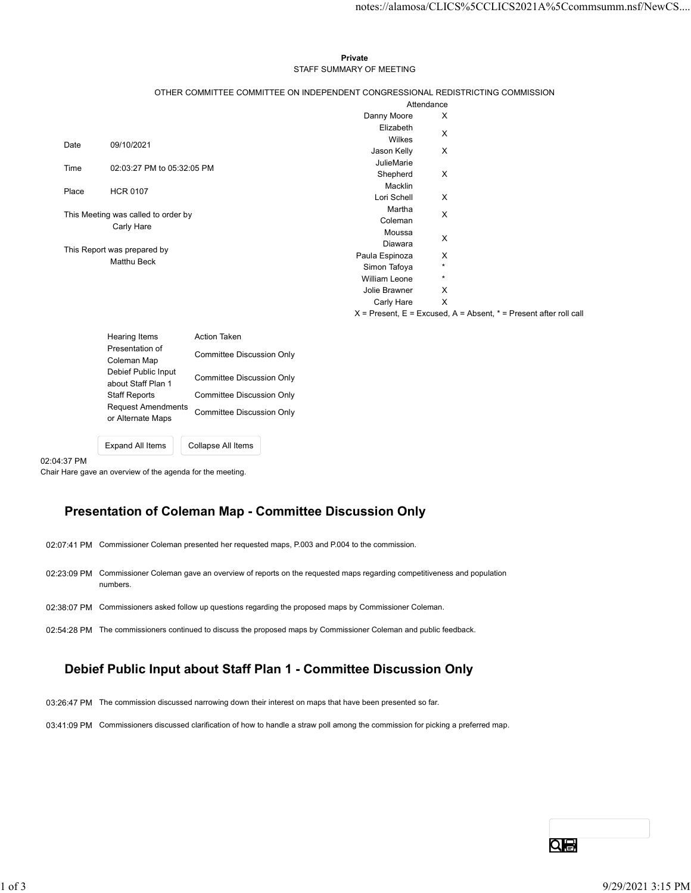## Private **Private** and *Private* and *Private* and *Private* and *Private* and *Private* and *Private* and *Private* and *Private* and *Private* and *Private* and *Private* and *Private* and *Private* and *Private* and *Pri* STAFF SUMMARY OF MEETING

|         |                                     |                                                                                 |                          |                           | notes://alamosa/CLICS%5CCLICS2021A%5Ccommsumm.nsf/NewCS                   |  |
|---------|-------------------------------------|---------------------------------------------------------------------------------|--------------------------|---------------------------|---------------------------------------------------------------------------|--|
|         |                                     |                                                                                 |                          |                           |                                                                           |  |
|         |                                     |                                                                                 |                          |                           |                                                                           |  |
|         |                                     |                                                                                 |                          |                           |                                                                           |  |
|         |                                     |                                                                                 | Private                  |                           |                                                                           |  |
|         |                                     |                                                                                 | STAFF SUMMARY OF MEETING |                           |                                                                           |  |
|         |                                     |                                                                                 |                          |                           |                                                                           |  |
|         |                                     | OTHER COMMITTEE COMMITTEE ON INDEPENDENT CONGRESSIONAL REDISTRICTING COMMISSION |                          |                           |                                                                           |  |
|         |                                     |                                                                                 |                          | Attendance                |                                                                           |  |
|         |                                     |                                                                                 | Danny Moore              | X                         |                                                                           |  |
|         |                                     |                                                                                 | Elizabeth                | X                         |                                                                           |  |
| Date    | 09/10/2021                          |                                                                                 | Wilkes<br>Jason Kelly    | $\mathsf{X}$              |                                                                           |  |
|         |                                     |                                                                                 | JulieMarie               |                           |                                                                           |  |
| Time    | 02:03:27 PM to 05:32:05 PM          |                                                                                 | Shepherd                 | X                         |                                                                           |  |
| Place   | <b>HCR 0107</b>                     |                                                                                 | Macklin                  |                           |                                                                           |  |
|         |                                     |                                                                                 | Lori Schell              | $\boldsymbol{\mathsf{X}}$ |                                                                           |  |
|         | This Meeting was called to order by |                                                                                 | Martha                   | $\boldsymbol{\mathsf{X}}$ |                                                                           |  |
|         | Carly Hare                          |                                                                                 | Coleman                  |                           |                                                                           |  |
|         |                                     |                                                                                 | Moussa<br>Diawara        | X                         |                                                                           |  |
|         | This Report was prepared by         |                                                                                 | Paula Espinoza           | X                         |                                                                           |  |
|         | Matthu Beck                         |                                                                                 | Simon Tafoya             | $\star$                   |                                                                           |  |
|         |                                     |                                                                                 | William Leone            | $\star$                   |                                                                           |  |
|         |                                     |                                                                                 | Jolie Brawner            | X                         |                                                                           |  |
|         |                                     |                                                                                 | Carly Hare               | $\mathsf{X}$              |                                                                           |  |
|         |                                     |                                                                                 |                          |                           | $X =$ Present, $E =$ Excused, $A =$ Absent, $* =$ Present after roll call |  |
|         | Hearing Items                       | Action Taken                                                                    |                          |                           |                                                                           |  |
|         | Presentation of                     | <b>Committee Discussion Only</b>                                                |                          |                           |                                                                           |  |
|         | Coleman Map                         |                                                                                 |                          |                           |                                                                           |  |
|         | Debief Public Input                 | <b>Committee Discussion Only</b>                                                |                          |                           |                                                                           |  |
|         | about Staff Plan 1<br>Staff Reports | <b>Committee Discussion Only</b>                                                |                          |                           |                                                                           |  |
|         | <b>Request Amendments</b>           |                                                                                 |                          |                           |                                                                           |  |
|         | or Alternate Maps                   | <b>Committee Discussion Only</b>                                                |                          |                           |                                                                           |  |
|         |                                     |                                                                                 |                          |                           |                                                                           |  |
|         | Expand All Items                    | Collapse All Items                                                              |                          |                           |                                                                           |  |
|         |                                     |                                                                                 |                          |                           |                                                                           |  |
| 4:37 PM |                                     |                                                                                 |                          |                           |                                                                           |  |

| <b>Hearing Items</b>                      | <b>Action Taken</b>       |
|-------------------------------------------|---------------------------|
| Presentation of                           | Committee Discussion Only |
| Coleman Map                               |                           |
| Debief Public Input<br>about Staff Plan 1 | Committee Discussion Only |
| <b>Staff Reports</b>                      | Committee Discussion Only |
| <b>Request Amendments</b>                 |                           |
| or Alternate Maps                         | Committee Discussion Only |
|                                           |                           |
| <b>Expand All Items</b>                   | Collapse All Items        |

## 02:04:37 PM

Chair Hare gave an overview of the agenda for the meeting.

# Presentation of Coleman Map - Committee Discussion Only

- 02:07:41 PM Commissioner Coleman presented her requested maps, P.003 and P.004 to the commission.
- 02:23:09 PM Commissioner Coleman gave an overview of reports on the requested maps regarding competitiveness and population numbers.
- 02:38:07 PM Commissioners asked follow up questions regarding the proposed maps by Commissioner Coleman.
- 02:54:28 PM The commissioners continued to discuss the proposed maps by Commissioner Coleman and public feedback.

# Debief Public Input about Staff Plan 1 - Committee Discussion Only 02:36.07 PM Commissioners asked follow up questions regarding the proposed maps by Commissioner Coleman.<br>
02:54:28 PM The commissioners continued to discuss the proposed maps by Commissioner Coleman and public freedback.<br>

- 03:26:47 PM The commission discussed narrowing down their interest on maps that have been presented so far.
- 03:41:09 PM Commissioners discussed clarification of how to handle a straw poll among the commission for picking a preferred map.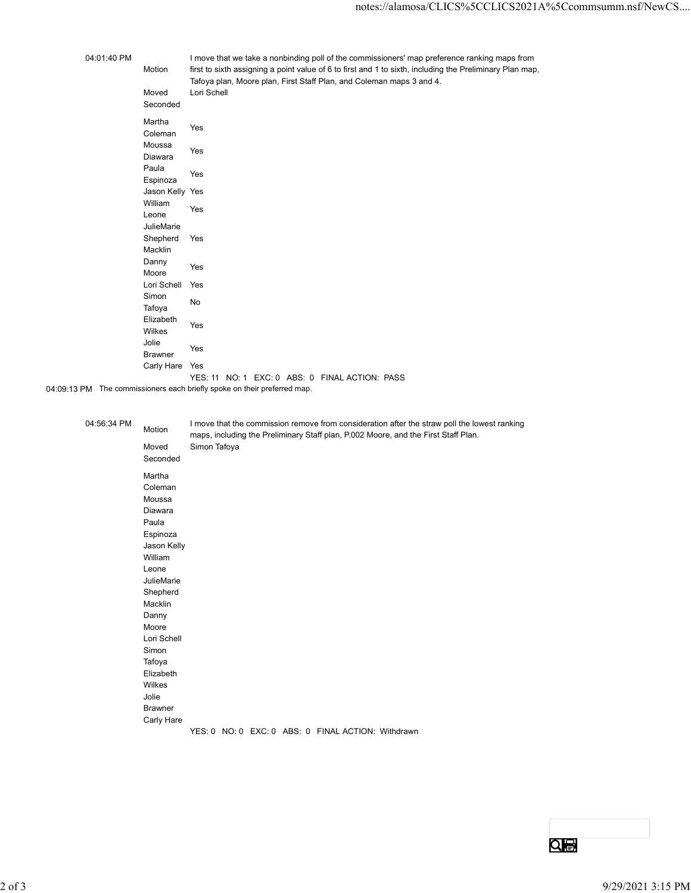|             |                                        | notes://alamosa/CLICS%5CCLICS2021A%5Ccommsumm.nsf/NewCS                                                                                                                                                                                                                          |
|-------------|----------------------------------------|----------------------------------------------------------------------------------------------------------------------------------------------------------------------------------------------------------------------------------------------------------------------------------|
| 04:01:40 PM | Motion                                 | I move that we take a nonbinding poll of the commissioners' map preference ranking maps from<br>first to sixth assigning a point value of 6 to first and 1 to sixth, including the Preliminary Plan map,<br>Tafoya plan, Moore plan, First Staff Plan, and Coleman maps 3 and 4. |
|             | Moved<br>Seconded                      | Lori Schell                                                                                                                                                                                                                                                                      |
|             | Martha<br>Coleman                      | Yes                                                                                                                                                                                                                                                                              |
|             | Moussa<br>Diawara                      | Yes                                                                                                                                                                                                                                                                              |
|             | Paula<br>Espinoza<br>Jason Kelly Yes   | Yes                                                                                                                                                                                                                                                                              |
|             | William<br>Leone                       | Yes                                                                                                                                                                                                                                                                              |
|             | JulieMarie<br>Shepherd<br>Macklin      | Yes                                                                                                                                                                                                                                                                              |
|             | Danny<br>Moore<br>Lori Schell Yes      | Yes                                                                                                                                                                                                                                                                              |
|             | Simon<br>Tafoya                        | No                                                                                                                                                                                                                                                                               |
|             | Elizabeth<br>Wilkes<br>Jolie           | Yes                                                                                                                                                                                                                                                                              |
|             | <b>Brawner</b><br>Carly Hare Yes       | Yes                                                                                                                                                                                                                                                                              |
|             |                                        | YES: 11 NO: 1 EXC: 0 ABS: 0 FINAL ACTION: PASS<br>M The commissioners each briefly spoke on their preferred map.                                                                                                                                                                 |
| 04:56:34 PM | Motion                                 | I move that the commission remove from consideration after the straw poll the lowest ranking<br>maps, including the Preliminary Staff plan, P.002 Moore, and the First Staff Plan.                                                                                               |
|             | Moved<br>Seconded                      | Simon Tafoya                                                                                                                                                                                                                                                                     |
|             | Martha<br>Coleman<br>Moussa<br>Diawara |                                                                                                                                                                                                                                                                                  |

04:09:13 PM The commissioners each briefly spoke on their preferred map.

Moussa Diawara Paula

04:56:34 PM Motion I move that the commission remove from consideration after the straw poll the lowest ranking maps, including the Preliminary Staff plan, P.002 Moore, and the First Staff Plan. Seconded Coleman Espinoza Jason Kelly William

|            | William                                            |                   |
|------------|----------------------------------------------------|-------------------|
|            | Leone                                              |                   |
|            | JulieMarie                                         |                   |
|            | Shepherd                                           |                   |
|            | Macklin                                            |                   |
|            | Danny                                              |                   |
|            | Moore                                              |                   |
|            | Lori Schell                                        |                   |
|            | Simon                                              |                   |
|            | Tafoya                                             |                   |
|            | Elizabeth                                          |                   |
|            | Wilkes                                             |                   |
|            | Jolie                                              |                   |
|            | Brawner                                            |                   |
|            | Carly Hare                                         |                   |
|            | YES: 0 NO: 0 EXC: 0 ABS: 0 FINAL ACTION: Withdrawn |                   |
|            |                                                    |                   |
|            |                                                    |                   |
|            |                                                    |                   |
|            |                                                    |                   |
|            |                                                    |                   |
|            |                                                    |                   |
|            |                                                    |                   |
|            |                                                    |                   |
|            |                                                    | $Q_{\bigoplus}$   |
|            |                                                    |                   |
|            |                                                    |                   |
| $2$ of $3$ |                                                    | 9/29/2021 3:15 PM |
|            |                                                    |                   |